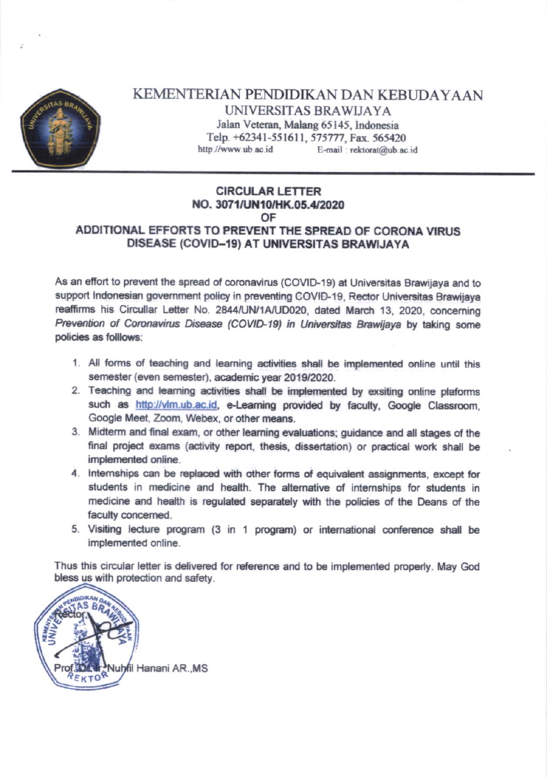

KEMENTERIAN PENDIDIKAN DAN KEBUDAYAAN UNIVERSITAS BRAWLJAYA Jalan Veteran, Malang 65145, Indonesia Telp. +62341-551611, 575777, Fax. 565420 http://www.ub.ac.id E-mail: rektorat@ub.ac.id

# **CIRCULAR LETTER** NO. 3071/UN10/HK.05.4/2020 OF

## ADDITIONAL EFFORTS TO PREVENT THE SPREAD OF CORONA VIRUS DISEASE (COVID-19) AT UNIVERSITAS BRAWIJAYA

As an effort to prevent the spread of coronavirus (COVID-19) at Universitas Brawijaya and to support Indonesian government policy in preventing COVID-19. Rector Universitas Brawijaya reaffirms his Circullar Letter No. 2844/UN/1A/UD020, dated March 13, 2020, concerning Prevention of Coronavirus Disease (COVID-19) in Universitas Brawijaya by taking some policies as folllows:

- 1. All forms of teaching and learning activities shall be implemented online until this semester (even semester), academic year 2019/2020.
- 2. Teaching and learning activities shall be implemented by exsiting online plaforms such as http://vlm.ub.ac.id. e-Learning provided by faculty, Google Classroom. Google Meet, Zoom, Webex, or other means.
- 3. Midterm and final exam, or other learning evaluations; guidance and all stages of the final project exams (activity report, thesis, dissertation) or practical work shall be implemented online.
- 4. Internships can be replaced with other forms of equivalent assignments, except for students in medicine and health. The alternative of internships for students in medicine and health is regulated separately with the policies of the Deans of the faculty concerned.
- 5. Visiting lecture program (3 in 1 program) or international conference shall be implemented online.

Thus this circular letter is delivered for reference and to be implemented properly. May God bless us with protection and safety.